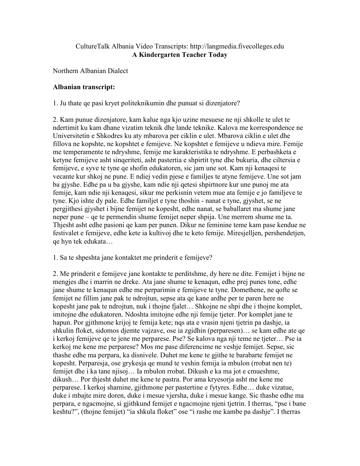## CultureTalk Albania Video Transcripts: http://langmedia.fivecolleges.edu A Kindergarten Teacher Today

Northern Albanian Dialect

## Albanian transcript:

1. Ju thate qe pasi kryet politeknikumin dhe punuat si dizenjatore?

2. Kam punue dizenjatore, kam kalue nga kjo uzine mesuese ne nji shkolle te ulet te ndertimit ku kam dhane vizatim teknik dhe lande teknike. Kalova me korrespondence ne Universitetin e Shkodres ku aty mbarova per ciklin e ulet. Mbarova ciklin e ulet dhe fillova ne kopshte, ne kopshtet e femijeve. Ne kopshtet e femijeve u ndieva mire. Femije me temperamente te ndryshme, femije me karakteristika te ndryshme. E perbashketa e ketyne femijeve asht sinqeriteti, asht pastertia e shpirtit tyne dhe bukuria, dhe ciltersia e femijeve, e syve te tyne qe shofin edukatoren, sic jam une sot. Kam nji kenaqesi te vecante kur shkoj ne pune. E ndiej vedin pjese e familjes te atyne femijeve. Une sot jam ba gjyshe. Edhe pa u ba gjyshe, kam ndie nji qetesi shpirtnore kur une punoj me ata femije, kam ndie nji kenaqesi, sikur me perkisnin vetem mue ata femije e jo familjeve te tyne. Kjo ishte dy pale. Edhe familjet e tyne thoshin - nanat e tyne, gjyshet, se ne pergjithesi gjyshet i bijne femijet ne kopesht, edhe nanat, se baballaret ma shume jane neper pune – qe te permendin shume femijet neper shpija. Une merrem shume me ta. Thjesht asht edhe pasioni qe kam per punen. Dikur ne feminine teme kam pase kendue ne festivalet e femijeve, edhe kete ia kultivoj dhe te keto femije. Miresjelljen, pershendetjen, qe hyn tek edukata…

1. Sa te shpeshta jane kontaktet me prinderit e femijeve?

2. Me prinderit e femijeve jane kontakte te perditshme, dy here ne dite. Femijet i bijne ne mengjes dhe i marrin ne dreke. Ata jane shume te kenaqun, edhe prej punes tone, edhe jane shume te kenaqun edhe me perparimin e femijeve te tyne. Domethene, ne qofte se femijet ne fillim jane pak te ndrojtun, sepse ata qe kane ardhe per te paren here ne kopesht jane pak te ndrojtun, nuk i thojne fjalet… Shkojne ne shpi dhe i thojne komplet, imitojne dhe edukatoren. Ndoshta imitojne edhe nji femije tjeter. Por komplet jane te hapun. Por gjithmone krijoj te femija kete; nqs ata e vrasin njeni tjetrin pa dashje, ia shkulin floket, sidomos djemte vajzave, ose ia zgidhin (perparesen)… se kam edhe ate qe i kerkoj femijeve qe te jene me perparese. Pse? Se kalova nga nji teme ne tjeter… Pse ia kerkoj me kene me perparese? Mos me pase diferencime ne veshje femijet. Sepse, sic thashe edhe ma perpara, ka disnivele. Duhet me kene te gjithe te barabarte femijet ne kopesht. Perparesja, ose grykesja qe mund te veshin femija ia mbulon (rrobat nen te) femijet dhe i ka tane njisoj… Ia mbulon rrobat. Dikush e ka ma jot e cmueshme, dikush… Por thjesht duhet me kene te pastra. Por ama kryesorja asht me kene me perparese. I kerkoj shamine, gjithmone per pastertine e fytyres. Edhe… duke vizatue, duke i mbajte mire doren, duke i mesue vjersha, duke i mesue kange. Sic thashe edhe ma perpara, e ngacmojne, si gjithkund femijet e ngacmojne njeni tjetrin. I therras, "pse i bane keshtu?", (thojne femijet) "ia shkula floket" ose "i rashe me kambe pa dashje". I therras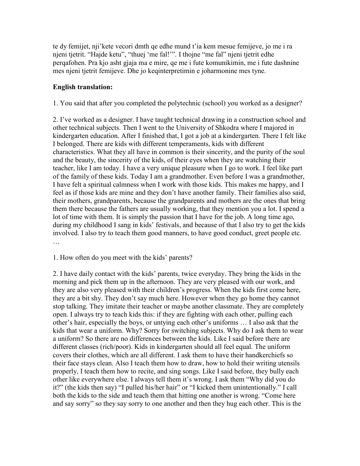te dy femijet, nji'kete vecori dmth qe edhe mund t'ia kem mesue femijeve, jo me i ra njeni tjetrit. "Hajde ketu", "thuej 'me fal!'". I thojne "me fal" njeni tjetrit edhe perqafohen. Pra kjo asht gjaja ma e mire, qe me i fute komunikimin, me i fute dashnine mes njeni tjetrit femijeve. Dhe jo keqinterpretimin e joharmonine mes tyne.

## English translation:

1. You said that after you completed the polytechnic (school) you worked as a designer?

2. I've worked as a designer. I have taught technical drawing in a construction school and other technical subjects. Then I went to the University of Shkodra where I majored in kindergarten education. After I finished that, I got a job at a kindergarten. There I felt like I belonged. There are kids with different temperaments, kids with different characteristics. What they all have in common is their sincerity, and the purity of the soul and the beauty, the sincerity of the kids, of their eyes when they are watching their teacher, like I am today. I have a very unique pleasure when I go to work. I feel like part of the family of these kids. Today I am a grandmother. Even before I was a grandmother, I have felt a spiritual calmness when I work with those kids. This makes me happy, and I feel as if those kids are mine and they don't have another family. Their families also said, their mothers, grandparents, because the grandparents and mothers are the ones that bring them there because the fathers are usually working, that they mention you a lot. I spend a lot of time with them. It is simply the passion that I have for the job. A long time ago, during my childhood I sang in kids' festivals, and because of that I also try to get the kids involved. I also try to teach them good manners, to have good conduct, greet people etc. …

## 1. How often do you meet with the kids' parents?

2. I have daily contact with the kids' parents, twice everyday. They bring the kids in the morning and pick them up in the afternoon. They are very pleased with our work, and they are also very pleased with their children's progress. When the kids first come here, they are a bit shy. They don't say much here. However when they go home they cannot stop talking. They imitate their teacher or maybe another classmate. They are completely open. I always try to teach kids this: if they are fighting with each other, pulling each other's hair, especially the boys, or untying each other's uniforms … I also ask that the kids that wear a uniform. Why? Sorry for switching subjects. Why do I ask them to wear a uniform? So there are no differences between the kids. Like I said before there are different classes (rich/poor). Kids in kindergarten should all feel equal. The uniform covers their clothes, which are all different. I ask them to have their handkerchiefs so their face stays clean. Also I teach them how to draw, how to hold their writing utensils properly, I teach them how to recite, and sing songs. Like I said before, they bully each other like everywhere else. I always tell them it's wrong. I ask them "Why did you do it?" (the kids then say) "I pulled his/her hair" or "I kicked them unintentionally." I call both the kids to the side and teach them that hitting one another is wrong. "Come here and say sorry" so they say sorry to one another and then they hug each other. This is the